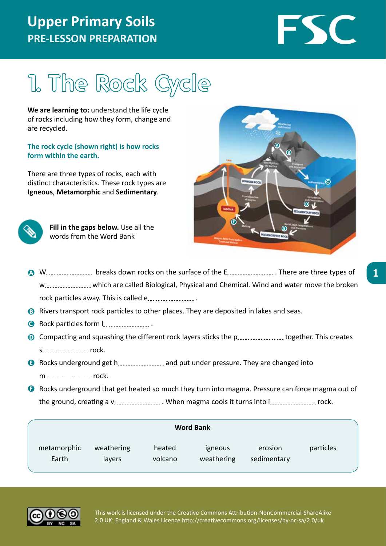## **Upper Primary Soils PRE-LESSON PREPARATION**

# FSC

# 1. The Rock Cycle

**We are learning to:** understand the life cycle of rocks including how they form, change and are recycled.

#### **The rock cycle (shown right) is how rocks form within the earth.**

There are three types of rocks, each with distinct characteristics. These rock types are **Igneous**, **Metamorphic** and **Sedimentary**.



**Fill in the gaps below.** Use all the words from the Word Bank



- <sup>4</sup> W. Surface types of the surface of the E ... Enterpreement or three types of w................... which are called Biological, Physical and Chemical. Wind and water move the broken rock particles away. This is called e
- <sup>3</sup> Rivers transport rock particles to other places. They are deposited in lakes and seas.
- **G** Rock particles form l..................
- **O** Compacting and squashing the different rock layers sticks the p................... together. This creates s ... . . . . . . . . . . . . . . . rock.
- **G** Rocks underground get h................... and put under pressure. They are changed into m rock.
- **G** Rocks underground that get heated so much they turn into magma. Pressure can force magma out of the ground, creating a v. . . . . . . . . . . . . . . . When magma cools it turns into i . . . . . . . . . . . . . . . rock.

| <b>Word Bank</b>     |                      |                   |                       |                        |           |  |
|----------------------|----------------------|-------------------|-----------------------|------------------------|-----------|--|
| metamorphic<br>Earth | weathering<br>layers | heated<br>volcano | igneous<br>weathering | erosion<br>sedimentary | particles |  |

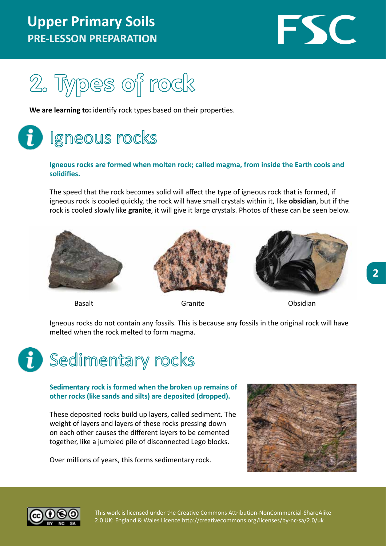### **Upper Primary Soils PRE-LESSON PREPARATION**





**We are learning to:** identify rock types based on their properties.

# Igneous rocks

#### **Igneous rocks are formed when molten rock; called magma, from inside the Earth cools and solidifies.**

The speed that the rock becomes solid will affect the type of igneous rock that is formed, if igneous rock is cooled quickly, the rock will have small crystals within it, like **obsidian**, but if the rock is cooled slowly like **granite**, it will give it large crystals. Photos of these can be seen below.







Basalt **Granite** Granite **Contains Construction** Obsidian

Igneous rocks do not contain any fossils. This is because any fossils in the original rock will have melted when the rock melted to form magma.



#### **Sedimentary rock is formed when the broken up remains of other rocks (like sands and silts) are deposited (dropped).**

These deposited rocks build up layers, called sediment. The weight of layers and layers of these rocks pressing down on each other causes the different layers to be cemented together, like a jumbled pile of disconnected Lego blocks.

Over millions of years, this forms sedimentary rock.



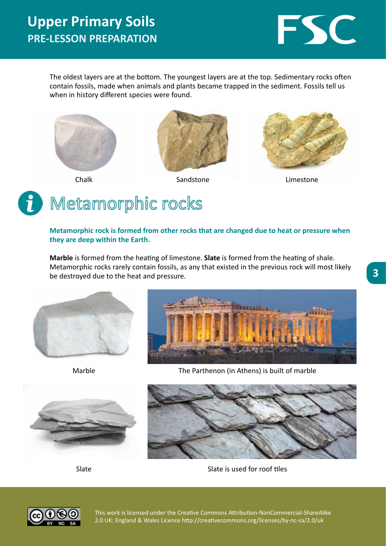

The oldest layers are at the bottom. The youngest layers are at the top. Sedimentary rocks often contain fossils, made when animals and plants became trapped in the sediment. Fossils tell us when in history different species were found.







Chalk **Sandstone** Sandstone Limestone

# Metamorphic rocks

**Metamorphic rock is formed from other rocks that are changed due to heat or pressure when they are deep within the Earth.**

**Marble** is formed from the heating of limestone. **Slate** is formed from the heating of shale. Metamorphic rocks rarely contain fossils, as any that existed in the previous rock will most likely be destroyed due to the heat and pressure.





Marble



The Parthenon (in Athens) is built of marble



Slate

Slate is used for roof tiles